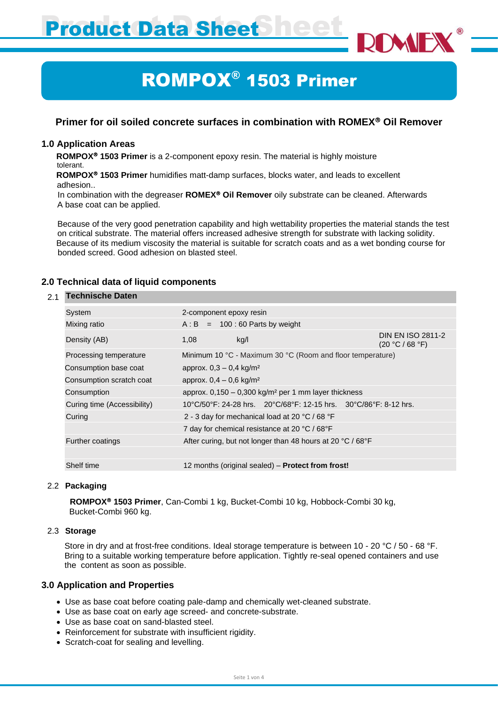**Product Data Sheet** 

# ROMPOX® 1503 Primer

# **Primer for oil soiled concrete surfaces in combination with ROMEX Oil Remover**

#### **1.0 Application Areas**

**ROMPOX<sup>®</sup> 1503 Primer** is a 2-component epoxy resin. The material is highly moisture tolerant.

 **ROMPOX 1503 Primer** humidifies matt-damp surfaces, blocks water, and leads to excellent adhesion..

In combination with the degreaser **ROMEX<sup>®</sup> Oil Remover** oily substrate can be cleaned. Afterwards A base coat can be applied.

Because of the very good penetration capability and high wettability properties the material stands the test on critical substrate. The material offers increased adhesive strength for substrate with lacking solidity. Because of its medium viscosity the material is suitable for scratch coats and as a wet bonding course for bonded screed. Good adhesion on blasted steel.

# **2.0 Technical data of liquid components**

#### 2.1 **Technische Daten**

| System                      | 2-component epoxy resin                                                                                                         |                                             |  |
|-----------------------------|---------------------------------------------------------------------------------------------------------------------------------|---------------------------------------------|--|
| Mixing ratio                | $A : B = 100 : 60$ Parts by weight                                                                                              |                                             |  |
| Density (AB)                | kg/l<br>1,08                                                                                                                    | <b>DIN EN ISO 2811-2</b><br>(20 °C / 68 °F) |  |
| Processing temperature      | Minimum 10 °C - Maximum 30 °C (Room and floor temperature)                                                                      |                                             |  |
| Consumption base coat       | approx. $0,3 - 0,4$ kg/m <sup>2</sup>                                                                                           |                                             |  |
| Consumption scratch coat    | approx. $0,4 - 0,6$ kg/m <sup>2</sup>                                                                                           |                                             |  |
| Consumption                 | approx. $0,150 - 0,300$ kg/m <sup>2</sup> per 1 mm layer thickness                                                              |                                             |  |
| Curing time (Accessibility) | $10^{\circ}$ C/50 $^{\circ}$ F: 24-28 hrs. $20^{\circ}$ C/68 $^{\circ}$ F: 12-15 hrs. $30^{\circ}$ C/86 $^{\circ}$ F: 8-12 hrs. |                                             |  |
| Curing                      | 2 - 3 day for mechanical load at 20 °C / 68 °F                                                                                  |                                             |  |
|                             | 7 day for chemical resistance at 20 °C / 68°F                                                                                   |                                             |  |
| Further coatings            | After curing, but not longer than 48 hours at 20 °C / 68°F                                                                      |                                             |  |
|                             |                                                                                                                                 |                                             |  |
| Shelf time                  | 12 months (original sealed) – <b>Protect from frost!</b>                                                                        |                                             |  |
|                             |                                                                                                                                 |                                             |  |

#### 2.2 **Packaging**

**ROMPOX 1503 Primer**, Can-Combi 1 kg, Bucket-Combi 10 kg, Hobbock-Combi 30 kg, Bucket-Combi 960 kg.

#### 2.3 **Storage**

Store in dry and at frost-free conditions. Ideal storage temperature is between 10 - 20 °C / 50 - 68 °F. Bring to a suitable working temperature before application. Tightly re-seal opened containers and use the content as soon as possible.

# **3.0 Application and Properties**

- Use as base coat before coating pale-damp and chemically wet-cleaned substrate.
- Use as base coat on early age screed- and concrete-substrate.
- Use as base coat on sand-blasted steel.
- Reinforcement for substrate with insufficient rigidity.
- Scratch-coat for sealing and levelling.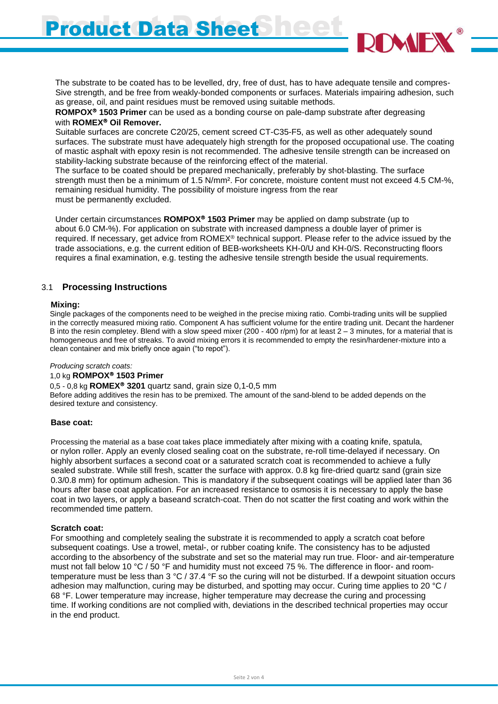**Product Data Sheet** 

 The substrate to be coated has to be levelled, dry, free of dust, has to have adequate tensile and compres- Sive strength, and be free from weakly-bonded components or surfaces. Materials impairing adhesion, such as grease, oil, and paint residues must be removed using suitable methods.

 **ROMPOX 1503 Primer** can be used as a bonding course on pale-damp substrate after degreasing with **ROMEX<sup>®</sup> Oil Remover.** 

 Suitable surfaces are concrete C20/25, cement screed CT-C35-F5, as well as other adequately sound surfaces. The substrate must have adequately high strength for the proposed occupational use. The coating of mastic asphalt with epoxy resin is not recommended. The adhesive tensile strength can be increased on stability-lacking substrate because of the reinforcing effect of the material.

 The surface to be coated should be prepared mechanically, preferably by shot-blasting. The surface strength must then be a minimum of 1.5 N/mm². For concrete, moisture content must not exceed 4.5 CM-%, remaining residual humidity. The possibility of moisture ingress from the rear must be permanently excluded.

 Under certain circumstances **ROMPOX 1503 Primer** may be applied on damp substrate (up to about 6.0 CM-%). For application on substrate with increased dampness a double layer of primer is required. If necessary, get advice from ROMEX® technical support. Please refer to the advice issued by the trade associations, e.g. the current edition of BEB-worksheets KH-0/U and KH-0/S. Reconstructing floors requires a final examination, e.g. testing the adhesive tensile strength beside the usual requirements.

# 3.1 **Processing Instructions**

#### **Mixing:**

 Single packages of the components need to be weighed in the precise mixing ratio. Combi-trading units will be supplied in the correctly measured mixing ratio. Component A has sufficient volume for the entire trading unit. Decant the hardener B into the resin completey. Blend with a slow speed mixer (200 - 400 r/pm) for at least  $2 - 3$  minutes, for a material that is homogeneous and free of streaks. To avoid mixing errors it is recommended to empty the resin/hardener-mixture into a clean container and mix briefly once again ("to repot").

#### *Producing scratch coats:*

#### 1,0 kg **ROMPOX 1503 Primer**

0,5 - 0,8 kg **ROMEX<sup>®</sup> 3201** quartz sand, grain size 0,1-0,5 mm

 Before adding additives the resin has to be premixed. The amount of the sand-blend to be added depends on the desired texture and consistency.

#### **Base coat:**

 Processing the material as a base coat takes place immediately after mixing with a coating knife, spatula, or nylon roller. Apply an evenly closed sealing coat on the substrate, re-roll time-delayed if necessary. On highly absorbent surfaces a second coat or a saturated scratch coat is recommended to achieve a fully sealed substrate. While still fresh, scatter the surface with approx. 0.8 kg fire-dried quartz sand (grain size 0.3/0.8 mm) for optimum adhesion. This is mandatory if the subsequent coatings will be applied later than 36 hours after base coat application. For an increased resistance to osmosis it is necessary to apply the base coat in two layers, or apply a baseand scratch-coat. Then do not scatter the first coating and work within the recommended time pattern.

#### **Scratch coat:**

 For smoothing and completely sealing the substrate it is recommended to apply a scratch coat before subsequent coatings. Use a trowel, metal-, or rubber coating knife. The consistency has to be adjusted according to the absorbency of the substrate and set so the material may run true. Floor- and air-temperature must not fall below 10 °C / 50 °F and humidity must not exceed 75 %. The difference in floor- and room temperature must be less than 3 °C / 37.4 °F so the curing will not be disturbed. If a dewpoint situation occurs adhesion may malfunction, curing may be disturbed, and spotting may occur. Curing time applies to 20 °C / 68 °F. Lower temperature may increase, higher temperature may decrease the curing and processing time. If working conditions are not complied with, deviations in the described technical properties may occur in the end product.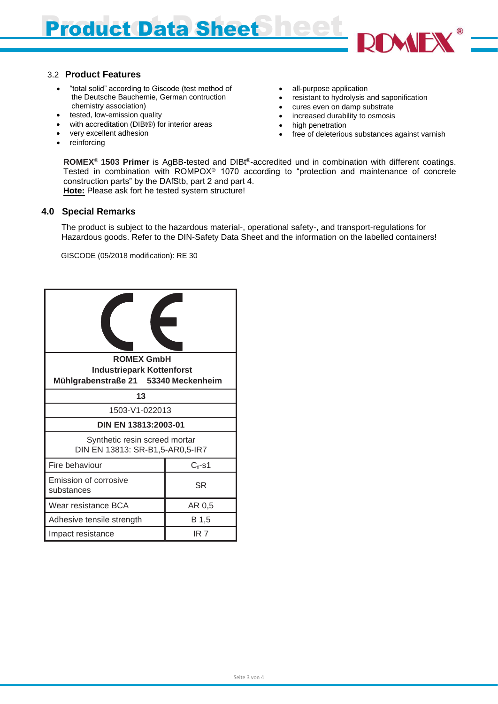# Product Data Sheet Pe

### 3.2 **Product Features**

- "total solid" according to Giscode (test method of the Deutsche Bauchemie, German contruction chemistry association)
- tested, low-emission quality
- with accreditation (DIBt®) for interior areas
- very excellent adhesion
- reinforcing
- all-purpose application
- resistant to hydrolysis and saponification
- cures even on damp substrate
- increased durability to osmosis
- high penetration
- free of deleterious substances against varnish

**ROMEX<sup>®</sup> 1503 Primer** is AgBB-tested and DIBt<sup>®</sup>-accredited und in combination with different coatings. Tested in combination with ROMPOX® 1070 according to "protection and maintenance of concrete construction parts" by the DAfStb, part 2 and part 4.

**Hote:** Please ask fort he tested system structure!

# **4.0 Special Remarks**

 The product is subject to the hazardous material-, operational safety-, and transport-regulations for Hazardous goods. Refer to the DIN-Safety Data Sheet and the information on the labelled containers!

GISCODE (05/2018 modification): RE 30